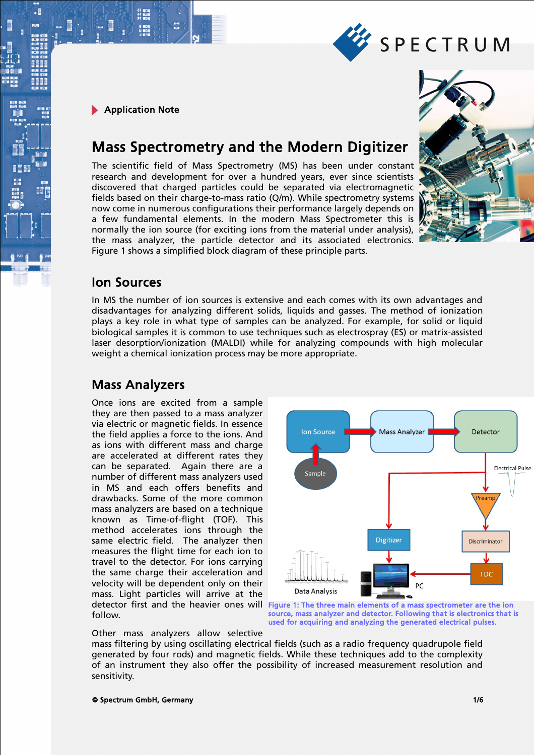

∄٠

# Mass Spectrometry and the Modern Digitizer

The scientific field of Mass Spectrometry (MS) has been under constant research and development for over a hundred years, ever since scientists discovered that charged particles could be separated via electromagnetic fields based on their charge-to-mass ratio (Q/m). While spectrometry systems now come in numerous configurations their performance largely depends on a few fundamental elements. In the modern Mass Spectrometer this is normally the ion source (for exciting ions from the material under analysis), the mass analyzer, the particle detector and its associated electronics. Figure 1 shows a simplified block diagram of these principle parts.



SPECTRUM

### Ion Sources

In MS the number of ion sources is extensive and each comes with its own advantages and disadvantages for analyzing different solids, liquids and gasses. The method of ionization plays a key role in what type of samples can be analyzed. For example, for solid or liquid biological samples it is common to use techniques such as electrospray (ES) or matrix-assisted laser desorption/ionization (MALDI) while for analyzing compounds with high molecular weight a chemical ionization process may be more appropriate.

### Mass Analyzers

Once ions are excited from a sample they are then passed to a mass analyzer via electric or magnetic fields. In essence the field applies a force to the ions. And as ions with different mass and charge are accelerated at different rates they can be separated. Again there are a number of different mass analyzers used in MS and each offers benefits and drawbacks. Some of the more common mass analyzers are based on a technique known as Time-of-flight (TOF). This method accelerates ions through the same electric field. The analyzer then measures the flight time for each ion to travel to the detector. For ions carrying the same charge their acceleration and velocity will be dependent only on their mass. Light particles will arrive at the detector first and the heavier ones will follow.



used for acquiring and analyzing the generated electrical pulses.

Other mass analyzers allow selective

mass filtering by using oscillating electrical fields (such as a radio frequency quadrupole field generated by four rods) and magnetic fields. While these techniques add to the complexity of an instrument they also offer the possibility of increased measurement resolution and sensitivity.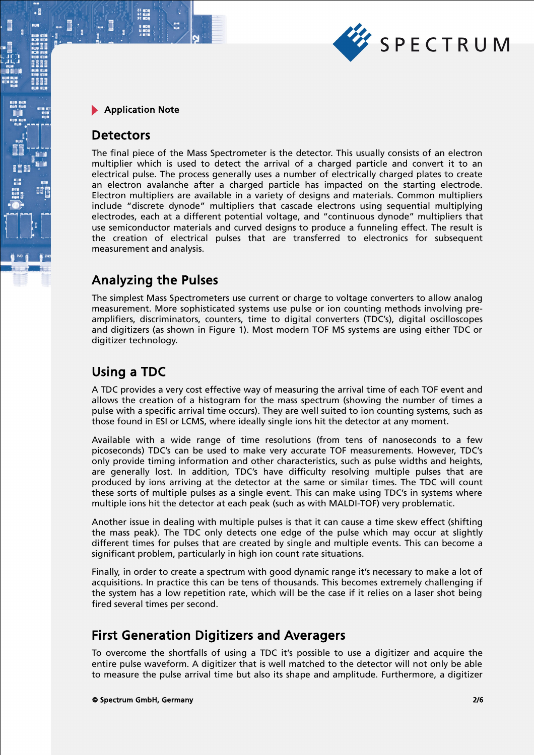

### **Detectors**

.

The final piece of the Mass Spectrometer is the detector. This usually consists of an electron multiplier which is used to detect the arrival of a charged particle and convert it to an electrical pulse. The process generally uses a number of electrically charged plates to create an electron avalanche after a charged particle has impacted on the starting electrode. Electron multipliers are available in a variety of designs and materials. Common multipliers include "discrete dynode" multipliers that cascade electrons using sequential multiplying electrodes, each at a different potential voltage, and "continuous dynode" multipliers that use semiconductor materials and curved designs to produce a funneling effect. The result is the creation of electrical pulses that are transferred to electronics for subsequent measurement and analysis.

# Analyzing the Pulses

The simplest Mass Spectrometers use current or charge to voltage converters to allow analog measurement. More sophisticated systems use pulse or ion counting methods involving preamplifiers, discriminators, counters, time to digital converters (TDC's), digital oscilloscopes and digitizers (as shown in Figure 1). Most modern TOF MS systems are using either TDC or digitizer technology.

### Using a TDC

A TDC provides a very cost effective way of measuring the arrival time of each TOF event and allows the creation of a histogram for the mass spectrum (showing the number of times a pulse with a specific arrival time occurs). They are well suited to ion counting systems, such as those found in ESI or LCMS, where ideally single ions hit the detector at any moment.

Available with a wide range of time resolutions (from tens of nanoseconds to a few picoseconds) TDC's can be used to make very accurate TOF measurements. However, TDC's only provide timing information and other characteristics, such as pulse widths and heights, are generally lost. In addition, TDC's have difficulty resolving multiple pulses that are produced by ions arriving at the detector at the same or similar times. The TDC will count these sorts of multiple pulses as a single event. This can make using TDC's in systems where multiple ions hit the detector at each peak (such as with MALDI-TOF) very problematic.

Another issue in dealing with multiple pulses is that it can cause a time skew effect (shifting the mass peak). The TDC only detects one edge of the pulse which may occur at slightly different times for pulses that are created by single and multiple events. This can become a significant problem, particularly in high ion count rate situations.

Finally, in order to create a spectrum with good dynamic range it's necessary to make a lot of acquisitions. In practice this can be tens of thousands. This becomes extremely challenging if the system has a low repetition rate, which will be the case if it relies on a laser shot being fired several times per second.

# First Generation Digitizers and Averagers

To overcome the shortfalls of using a TDC it's possible to use a digitizer and acquire the entire pulse waveform. A digitizer that is well matched to the detector will not only be able to measure the pulse arrival time but also its shape and amplitude. Furthermore, a digitizer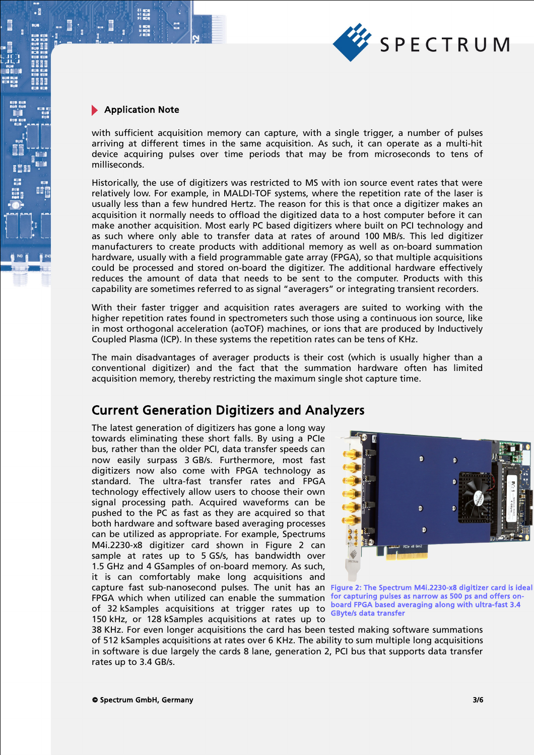

∄٠

with sufficient acquisition memory can capture, with a single trigger, a number of pulses arriving at different times in the same acquisition. As such, it can operate as a multi-hit device acquiring pulses over time periods that may be from microseconds to tens of milliseconds.

Historically, the use of digitizers was restricted to MS with ion source event rates that were relatively low. For example, in MALDI-TOF systems, where the repetition rate of the laser is usually less than a few hundred Hertz. The reason for this is that once a digitizer makes an acquisition it normally needs to offload the digitized data to a host computer before it can make another acquisition. Most early PC based digitizers where built on PCI technology and as such where only able to transfer data at rates of around 100 MB/s. This led digitizer manufacturers to create products with additional memory as well as on-board summation hardware, usually with a field programmable gate array (FPGA), so that multiple acquisitions could be processed and stored on-board the digitizer. The additional hardware effectively reduces the amount of data that needs to be sent to the computer. Products with this capability are sometimes referred to as signal "averagers" or integrating transient recorders.

With their faster trigger and acquisition rates averagers are suited to working with the higher repetition rates found in spectrometers such those using a continuous ion source, like in most orthogonal acceleration (aoTOF) machines, or ions that are produced by Inductively Coupled Plasma (ICP). In these systems the repetition rates can be tens of KHz.

The main disadvantages of averager products is their cost (which is usually higher than a conventional digitizer) and the fact that the summation hardware often has limited acquisition memory, thereby restricting the maximum single shot capture time.

# Current Generation Digitizers and Analyzers

The latest generation of digitizers has gone a long way towards eliminating these short falls. By using a PCIe bus, rather than the older PCI, data transfer speeds can now easily surpass 3 GB/s. Furthermore, most fast digitizers now also come with FPGA technology as standard. The ultra-fast transfer rates and FPGA technology effectively allow users to choose their own signal processing path. Acquired waveforms can be pushed to the PC as fast as they are acquired so that both hardware and software based averaging processes can be utilized as appropriate. For example, Spectrums M4i.2230-x8 digitizer card shown in Figure 2 can sample at rates up to 5 GS/s, has bandwidth over 1.5 GHz and 4 GSamples of on-board memory. As such, it is can comfortably make long acquisitions and capture fast sub-nanosecond pulses. The unit has an Figure 2: The Spectrum M4i.2230-x8 digitizer card is ideal FPGA which when utilized can enable the summation for capturing pulses as narrow as 500 ps and offers onof 32 kSamples acquisitions at trigger rates up to **GByte/s data transfer** 150 kHz, or 128 kSamples acquisitions at rates up to



board FPGA based averaging along with ultra-fast 3.4

38 KHz. For even longer acquisitions the card has been tested making software summations of 512 kSamples acquisitions at rates over 6 KHz. The ability to sum multiple long acquisitions in software is due largely the cards 8 lane, generation 2, PCI bus that supports data transfer rates up to 3.4 GB/s.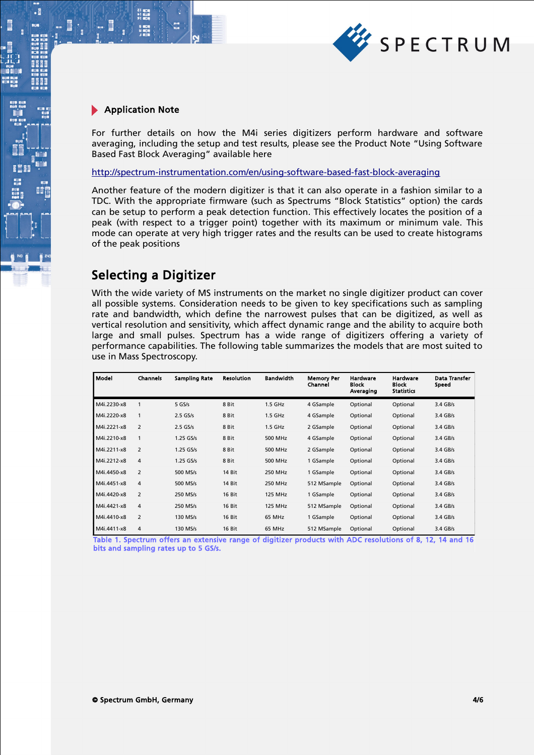

.

For further details on how the M4i series digitizers perform hardware and software averaging, including the setup and test results, please see the Product Note "Using Software Based Fast Block Averaging" available here

<http://spectrum-instrumentation.com/en/using-software-based-fast-block-averaging>

Another feature of the modern digitizer is that it can also operate in a fashion similar to a TDC. With the appropriate firmware (such as Spectrums "Block Statistics" option) the cards can be setup to perform a peak detection function. This effectively locates the position of a peak (with respect to a trigger point) together with its maximum or minimum vale. This mode can operate at very high trigger rates and the results can be used to create histograms of the peak positions

### Selecting a Digitizer

With the wide variety of MS instruments on the market no single digitizer product can cover all possible systems. Consideration needs to be given to key specifications such as sampling rate and bandwidth, which define the narrowest pulses that can be digitized, as well as vertical resolution and sensitivity, which affect dynamic range and the ability to acquire both large and small pulses. Spectrum has a wide range of digitizers offering a variety of performance capabilities. The following table summarizes the models that are most suited to use in Mass Spectroscopy.

| Model       | <b>Channels</b> | <b>Sampling Rate</b> | <b>Resolution</b> | <b>Bandwidth</b> | <b>Memory Per</b><br>Channel | <b>Hardware</b><br><b>Block</b><br>Averaging | <b>Hardware</b><br><b>Block</b><br><b>Statistics</b> | Data Transfer<br>Speed |
|-------------|-----------------|----------------------|-------------------|------------------|------------------------------|----------------------------------------------|------------------------------------------------------|------------------------|
| M4i.2230-x8 |                 | $5$ GS/s             | 8 Bit             | $1.5$ GHz        | 4 GSample                    | Optional                                     | Optional                                             | 3.4 GB/s               |
| M4i.2220-x8 | $\mathbf{1}$    | $2.5$ GS/s           | 8 Bit             | $1.5$ GHz        | 4 GSample                    | Optional                                     | Optional                                             | 3.4 GB/s               |
| M4i.2221-x8 | $\overline{2}$  | $2.5$ GS/s           | 8 Bit             | $1.5$ GHz        | 2 GSample                    | Optional                                     | Optional                                             | $3.4$ GB/s             |
| M4i.2210-x8 | 1               | $1.25$ GS/s          | 8 Bit             | 500 MHz          | 4 GSample                    | Optional                                     | Optional                                             | $3.4$ GB/s             |
| M4i.2211-x8 | $\overline{2}$  | $1.25$ GS/s          | 8 Bit             | 500 MHz          | 2 GSample                    | Optional                                     | Optional                                             | $3.4$ GB/s             |
| M4i.2212-x8 | 4               | $1.25$ GS/s          | 8 Bit             | 500 MHz          | 1 GSample                    | Optional                                     | Optional                                             | $3.4$ GB/s             |
| M4i.4450-x8 | $\overline{2}$  | 500 MS/s             | 14 Bit            | 250 MHz          | 1 GSample                    | Optional                                     | Optional                                             | 3.4 GB/s               |
| M4i.4451-x8 | 4               | 500 MS/s             | 14 Bit            | 250 MHz          | 512 MSample                  | Optional                                     | Optional                                             | 3.4 GB/s               |
| M4i.4420-x8 | $\overline{2}$  | 250 MS/s             | 16 Bit            | <b>125 MHz</b>   | 1 GSample                    | Optional                                     | Optional                                             | $3.4$ GB/s             |
| M4i.4421-x8 | 4               | 250 MS/s             | 16 Bit            | <b>125 MHz</b>   | 512 MSample                  | Optional                                     | Optional                                             | $3.4$ GB/s             |
| M4i.4410-x8 | $\overline{2}$  | 130 MS/s             | 16 Bit            | 65 MHz           | 1 GSample                    | Optional                                     | Optional                                             | $3.4$ GB/s             |
| M4i.4411-x8 | 4               | 130 MS/s             | 16 Bit            | 65 MHz           | 512 MSample                  | Optional                                     | Optional                                             | $3.4$ GB/s             |

Table 1. Spectrum offers an extensive range of digitizer products with ADC resolutions of 8, 12, 14 and 16 bits and sampling rates up to 5 GS/s.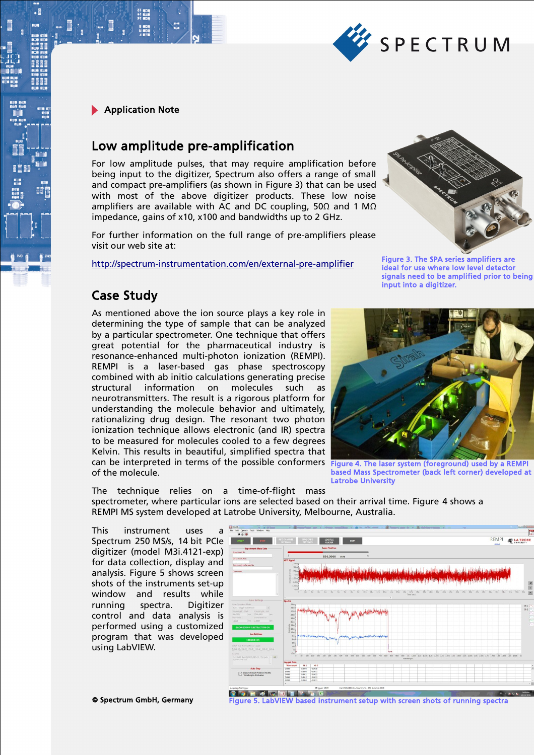

# Low amplitude pre-amplification

For low amplitude pulses, that may require amplification before being input to the digitizer, Spectrum also offers a range of small and compact pre-amplifiers (as shown in Figure 3) that can be used with most of the above digitizer products. These low noise amplifiers are available with AC and DC coupling, 50 $\Omega$  and 1 M $\Omega$ impedance, gains of x10, x100 and bandwidths up to 2 GHz.

For further information on the full range of pre-amplifiers please visit our web site at:

<http://spectrum-instrumentation.com/en/external-pre-amplifier>



Figure 3. The SPA series amplifiers are ideal for use where low level detector signals need to be amplified prior to being input into a digitizer.

### Case Study

As mentioned above the ion source plays a key role in determining the type of sample that can be analyzed by a particular spectrometer. One technique that offers great potential for the pharmaceutical industry is resonance-enhanced multi-photon ionization (REMPI). REMPI is a laser-based gas phase spectroscopy combined with ab initio calculations generating precise structural information on molecules such as neurotransmitters. The result is a rigorous platform for understanding the molecule behavior and ultimately, rationalizing drug design. The resonant two photon ionization technique allows electronic (and IR) spectra to be measured for molecules cooled to a few degrees Kelvin. This results in beautiful, simplified spectra that can be interpreted in terms of the possible conformers of the molecule.



Figure 4. The laser system (foreground) used by a REMPI based Mass Spectrometer (back left corner) developed at Latrobe University

The technique relies on a time-of-flight mass spectrometer, where particular ions are selected based on their arrival time. Figure 4 shows a REMPI MS system developed at Latrobe University, Melbourne, Australia.

This instrument uses a Spectrum 250 MS/s, 14 bit PCIe digitizer (model M3i.4121-exp) for data collection, display and analysis. Figure 5 shows screen shots of the instruments set-up window and results while running spectra. Digitizer control and data analysis is performed using a customized program that was developed using LabVIEW.



**© Spectrum GmbH, Germany The StabVIEW based instrument setup with screen shots of running spectra**